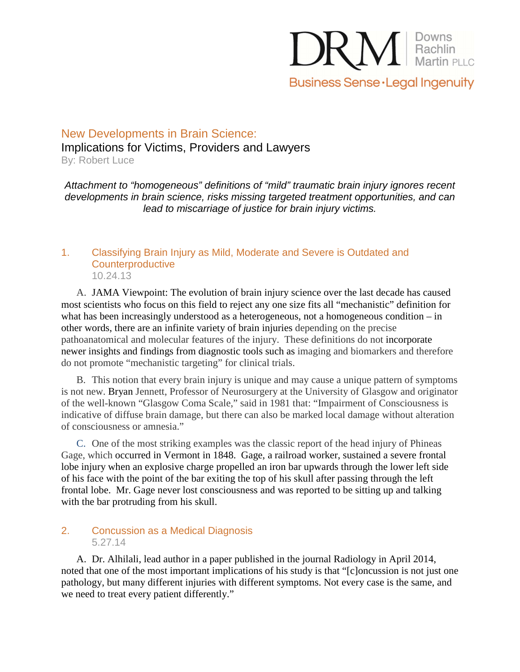

## New Developments in Brain Science: Implications for Victims, Providers and Lawyers By: Robert Luce

Attachment to "homogeneous" definitions of "mild" traumatic brain injury ignores recent developments in brain science, risks missing targeted treatment opportunities, and can lead to miscarriage of justice for brain injury victims.

#### 1. Classifying Brain Injury as Mild, Moderate and Severe is Outdated and **Counterproductive** 10.24.13

A. JAMA Viewpoint: The evolution of brain injury science over the last decade has caused most scientists who focus on this field to reject any one size fits all "mechanistic" definition for what has been increasingly understood as a heterogeneous, not a homogeneous condition – in other words, there are an infinite variety of brain injuries depending on the precise pathoanatomical and molecular features of the injury. These definitions do not incorporate newer insights and findings from diagnostic tools such as imaging and biomarkers and therefore do not promote "mechanistic targeting" for clinical trials.

B. This notion that every brain injury is unique and may cause a unique pattern of symptoms is not new. Bryan Jennett, Professor of Neurosurgery at the University of Glasgow and originator of the well-known "Glasgow Coma Scale," said in 1981 that: "Impairment of Consciousness is indicative of diffuse brain damage, but there can also be marked local damage without alteration of consciousness or amnesia."

C. One of the most striking examples was the classic report of the head injury of Phineas Gage, which occurred in Vermont in 1848. Gage, a railroad worker, sustained a severe frontal lobe injury when an explosive charge propelled an iron bar upwards through the lower left side of his face with the point of the bar exiting the top of his skull after passing through the left frontal lobe. Mr. Gage never lost consciousness and was reported to be sitting up and talking with the bar protruding from his skull.

#### 2. Concussion as a Medical Diagnosis 5.27.14

A. Dr. Alhilali, lead author in a paper published in the journal Radiology in April 2014, noted that one of the most important implications of his study is that "[c]oncussion is not just one pathology, but many different injuries with different symptoms. Not every case is the same, and we need to treat every patient differently."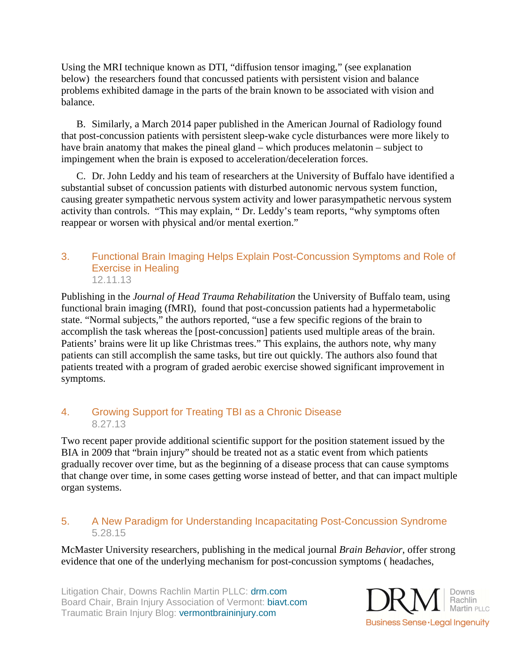Using the MRI technique known as DTI, "diffusion tensor imaging," (see explanation below) the researchers found that concussed patients with persistent vision and balance problems exhibited damage in the parts of the brain known to be associated with vision and balance.

B. Similarly, a March 2014 paper published in the American Journal of Radiology found that post-concussion patients with persistent sleep-wake cycle disturbances were more likely to have brain anatomy that makes the pineal gland – which produces melatonin – subject to impingement when the brain is exposed to acceleration/deceleration forces.

C. Dr. John Leddy and his team of researchers at the University of Buffalo have identified a substantial subset of concussion patients with disturbed autonomic nervous system function, causing greater sympathetic nervous system activity and lower parasympathetic nervous system activity than controls. "This may explain, " Dr. Leddy's team reports, "why symptoms often reappear or worsen with physical and/or mental exertion."

#### 3. Functional Brain Imaging Helps Explain Post-Concussion Symptoms and Role of Exercise in Healing 12.11.13

Publishing in the *Journal of Head Trauma Rehabilitation* the University of Buffalo team, using functional brain imaging (fMRI), found that post-concussion patients had a hypermetabolic state. "Normal subjects," the authors reported, "use a few specific regions of the brain to accomplish the task whereas the [post-concussion] patients used multiple areas of the brain. Patients' brains were lit up like Christmas trees." This explains, the authors note, why many patients can still accomplish the same tasks, but tire out quickly. The authors also found that patients treated with a program of graded aerobic exercise showed significant improvement in symptoms.

## 4. Growing Support for Treating TBI as a Chronic Disease 8.27.13

Two recent paper provide additional scientific support for the position statement issued by the BIA in 2009 that "brain injury" should be treated not as a static event from which patients gradually recover over time, but as the beginning of a disease process that can cause symptoms that change over time, in some cases getting worse instead of better, and that can impact multiple organ systems.

## 5. A New Paradigm for Understanding Incapacitating Post-Concussion Syndrome 5.28.15

McMaster University researchers, publishing in the medical journal *Brain Behavior*, offer strong evidence that one of the underlying mechanism for post-concussion symptoms ( headaches,

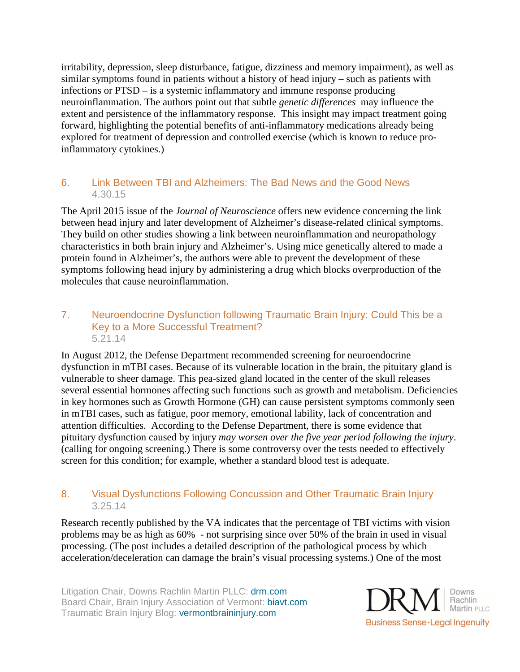irritability, depression, sleep disturbance, fatigue, dizziness and memory impairment), as well as similar symptoms found in patients without a history of head injury – such as patients with infections or PTSD – is a systemic inflammatory and immune response producing neuroinflammation. The authors point out that subtle *genetic differences* may influence the extent and persistence of the inflammatory response. This insight may impact treatment going forward, highlighting the potential benefits of anti-inflammatory medications already being explored for treatment of depression and controlled exercise (which is known to reduce proinflammatory cytokines.)

## 6. Link Between TBI and Alzheimers: The Bad News and the Good News 4.30.15

The April 2015 issue of the *Journal of Neuroscience* offers new evidence concerning the link between head injury and later development of Alzheimer's disease-related clinical symptoms. They build on other studies showing a link between neuroinflammation and neuropathology characteristics in both brain injury and Alzheimer's. Using mice genetically altered to made a protein found in Alzheimer's, the authors were able to prevent the development of these symptoms following head injury by administering a drug which blocks overproduction of the molecules that cause neuroinflammation.

#### 7. Neuroendocrine Dysfunction following Traumatic Brain Injury: Could This be a Key to a More Successful Treatment? 5.21.14

In August 2012, the Defense Department recommended screening for neuroendocrine dysfunction in mTBI cases. Because of its vulnerable location in the brain, the pituitary gland is vulnerable to sheer damage. This pea-sized gland located in the center of the skull releases several essential hormones affecting such functions such as growth and metabolism. Deficiencies in key hormones such as Growth Hormone (GH) can cause persistent symptoms commonly seen in mTBI cases, such as fatigue, poor memory, emotional lability, lack of concentration and attention difficulties. According to the Defense Department, there is some evidence that pituitary dysfunction caused by injury *may worsen over the five year period following the injury*. (calling for ongoing screening.) There is some controversy over the tests needed to effectively screen for this condition; for example, whether a standard blood test is adequate.

#### 8. Visual Dysfunctions Following Concussion and Other Traumatic Brain Injury 3.25.14

Research recently published by the VA indicates that the percentage of TBI victims with vision problems may be as high as 60% - not surprising since over 50% of the brain in used in visual processing. (The post includes a detailed description of the pathological process by which acceleration/deceleration can damage the brain's visual processing systems.) One of the most

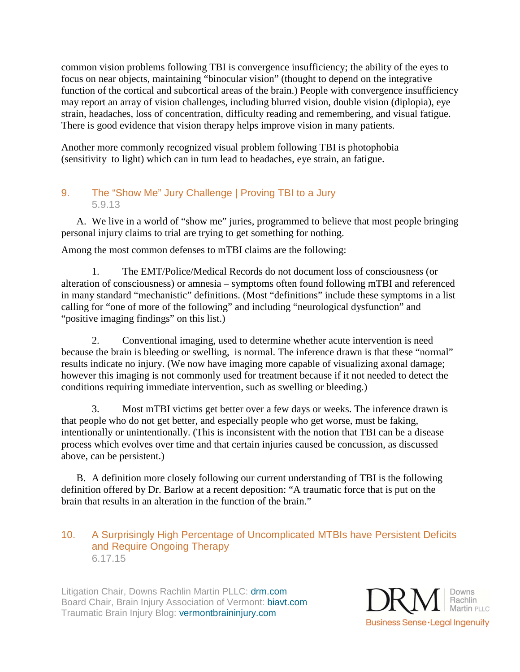common vision problems following TBI is convergence insufficiency; the ability of the eyes to focus on near objects, maintaining "binocular vision" (thought to depend on the integrative function of the cortical and subcortical areas of the brain.) People with convergence insufficiency may report an array of vision challenges, including blurred vision, double vision (diplopia), eye strain, headaches, loss of concentration, difficulty reading and remembering, and visual fatigue. There is good evidence that vision therapy helps improve vision in many patients.

Another more commonly recognized visual problem following TBI is photophobia (sensitivity to light) which can in turn lead to headaches, eye strain, an fatigue.

## 9. The "Show Me" Jury Challenge | Proving TBI to a Jury 5.9.13

A. We live in a world of "show me" juries, programmed to believe that most people bringing personal injury claims to trial are trying to get something for nothing.

Among the most common defenses to mTBI claims are the following:

1. The EMT/Police/Medical Records do not document loss of consciousness (or alteration of consciousness) or amnesia – symptoms often found following mTBI and referenced in many standard "mechanistic" definitions. (Most "definitions" include these symptoms in a list calling for "one of more of the following" and including "neurological dysfunction" and "positive imaging findings" on this list.)

2. Conventional imaging, used to determine whether acute intervention is need because the brain is bleeding or swelling, is normal. The inference drawn is that these "normal" results indicate no injury. (We now have imaging more capable of visualizing axonal damage; however this imaging is not commonly used for treatment because if it not needed to detect the conditions requiring immediate intervention, such as swelling or bleeding.)

3. Most mTBI victims get better over a few days or weeks. The inference drawn is that people who do not get better, and especially people who get worse, must be faking, intentionally or unintentionally. (This is inconsistent with the notion that TBI can be a disease process which evolves over time and that certain injuries caused be concussion, as discussed above, can be persistent.)

B. A definition more closely following our current understanding of TBI is the following definition offered by Dr. Barlow at a recent deposition: "A traumatic force that is put on the brain that results in an alteration in the function of the brain."

## 10. A Surprisingly High Percentage of Uncomplicated MTBIs have Persistent Deficits and Require Ongoing Therapy 6.17.15

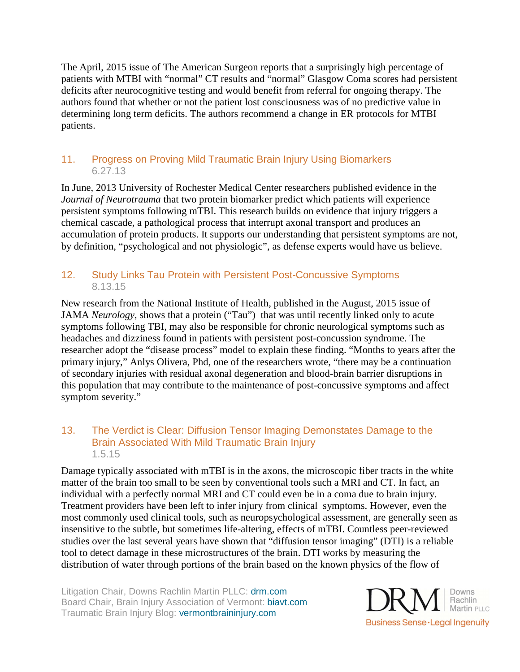The April, 2015 issue of The American Surgeon reports that a surprisingly high percentage of patients with MTBI with "normal" CT results and "normal" Glasgow Coma scores had persistent deficits after neurocognitive testing and would benefit from referral for ongoing therapy. The authors found that whether or not the patient lost consciousness was of no predictive value in determining long term deficits. The authors recommend a change in ER protocols for MTBI patients.

## 11. Progress on Proving Mild Traumatic Brain Injury Using Biomarkers 6.27.13

In June, 2013 University of Rochester Medical Center researchers published evidence in the *Journal of Neurotrauma* that two protein biomarker predict which patients will experience persistent symptoms following mTBI. This research builds on evidence that injury triggers a chemical cascade, a pathological process that interrupt axonal transport and produces an accumulation of protein products. It supports our understanding that persistent symptoms are not, by definition, "psychological and not physiologic", as defense experts would have us believe.

## 12. Study Links Tau Protein with Persistent Post-Concussive Symptoms 8.13.15

New research from the National Institute of Health, published in the August, 2015 issue of JAMA *Neurology*, shows that a protein ("Tau") that was until recently linked only to acute symptoms following TBI, may also be responsible for chronic neurological symptoms such as headaches and dizziness found in patients with persistent post-concussion syndrome. The researcher adopt the "disease process" model to explain these finding. "Months to years after the primary injury," Anlys Olivera, Phd, one of the researchers wrote, "there may be a continuation of secondary injuries with residual axonal degeneration and blood-brain barrier disruptions in this population that may contribute to the maintenance of post-concussive symptoms and affect symptom severity."

#### 13. The Verdict is Clear: Diffusion Tensor Imaging Demonstates Damage to the Brain Associated With Mild Traumatic Brain Injury 1.5.15

Damage typically associated with mTBI is in the axons, the microscopic fiber tracts in the white matter of the brain too small to be seen by conventional tools such a MRI and CT. In fact, an individual with a perfectly normal MRI and CT could even be in a coma due to brain injury. Treatment providers have been left to infer injury from clinical symptoms. However, even the most commonly used clinical tools, such as neuropsychological assessment, are generally seen as insensitive to the subtle, but sometimes life-altering, effects of mTBI. Countless peer-reviewed studies over the last several years have shown that "diffusion tensor imaging" (DTI) is a reliable tool to detect damage in these microstructures of the brain. DTI works by measuring the distribution of water through portions of the brain based on the known physics of the flow of

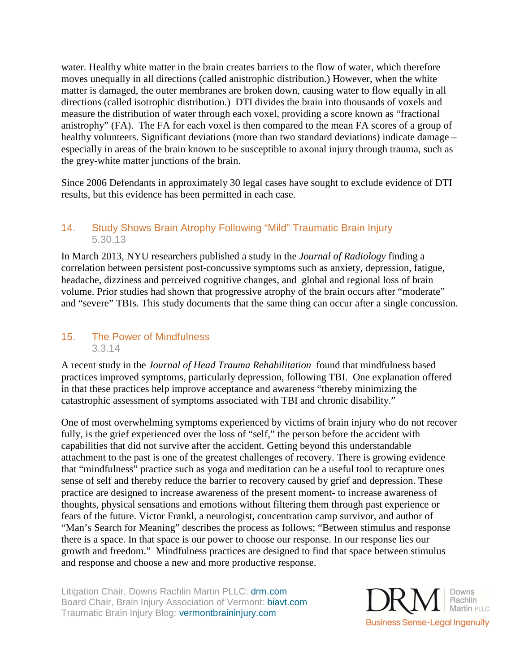water. Healthy white matter in the brain creates barriers to the flow of water, which therefore moves unequally in all directions (called anistrophic distribution.) However, when the white matter is damaged, the outer membranes are broken down, causing water to flow equally in all directions (called isotrophic distribution.) DTI divides the brain into thousands of voxels and measure the distribution of water through each voxel, providing a score known as "fractional anistrophy" (FA). The FA for each voxel is then compared to the mean FA scores of a group of healthy volunteers. Significant deviations (more than two standard deviations) indicate damage – especially in areas of the brain known to be susceptible to axonal injury through trauma, such as the grey-white matter junctions of the brain.

Since 2006 Defendants in approximately 30 legal cases have sought to exclude evidence of DTI results, but this evidence has been permitted in each case.

## 14. Study Shows Brain Atrophy Following "Mild" Traumatic Brain Injury 5.30.13

In March 2013, NYU researchers published a study in the *Journal of Radiology* finding a correlation between persistent post-concussive symptoms such as anxiety, depression, fatigue, headache, dizziness and perceived cognitive changes, and global and regional loss of brain volume. Prior studies had shown that progressive atrophy of the brain occurs after "moderate" and "severe" TBIs. This study documents that the same thing can occur after a single concussion.

#### 15. The Power of Mindfulness 3.3.14

A recent study in the *Journal of Head Trauma Rehabilitation* found that mindfulness based practices improved symptoms, particularly depression, following TBI. One explanation offered in that these practices help improve acceptance and awareness "thereby minimizing the catastrophic assessment of symptoms associated with TBI and chronic disability."

One of most overwhelming symptoms experienced by victims of brain injury who do not recover fully, is the grief experienced over the loss of "self," the person before the accident with capabilities that did not survive after the accident. Getting beyond this understandable attachment to the past is one of the greatest challenges of recovery. There is growing evidence that "mindfulness" practice such as yoga and meditation can be a useful tool to recapture ones sense of self and thereby reduce the barrier to recovery caused by grief and depression. These practice are designed to increase awareness of the present moment- to increase awareness of thoughts, physical sensations and emotions without filtering them through past experience or fears of the future. Victor Frankl, a neurologist, concentration camp survivor, and author of "Man's Search for Meaning" describes the process as follows; "Between stimulus and response there is a space. In that space is our power to choose our response. In our response lies our growth and freedom." Mindfulness practices are designed to find that space between stimulus and response and choose a new and more productive response.

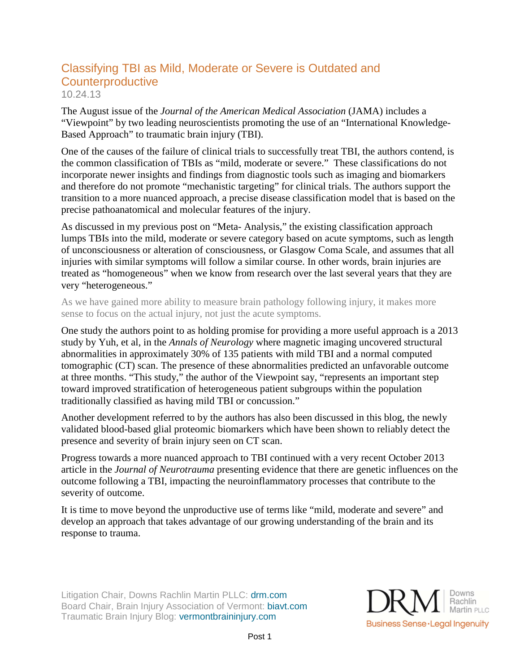## Classifying TBI as Mild, Moderate or Severe is Outdated and **Counterproductive** 10.24.13

The August issue of the *Journal of the American Medical Association* (JAMA) includes a "Viewpoint" by two leading neuroscientists promoting the use of an "International Knowledge-Based Approach" to traumatic brain injury (TBI).

One of the causes of the failure of clinical trials to successfully treat TBI, the authors contend, is the common classification of TBIs as "mild, moderate or severe." These classifications do not incorporate newer insights and findings from diagnostic tools such as imaging and biomarkers and therefore do not promote "mechanistic targeting" for clinical trials. The authors support the transition to a more nuanced approach, a precise disease classification model that is based on the precise pathoanatomical and molecular features of the injury.

As discussed in my previous post on "Meta- Analysis," the existing classification approach lumps TBIs into the mild, moderate or severe category based on acute symptoms, such as length of unconsciousness or alteration of consciousness, or Glasgow Coma Scale, and assumes that all injuries with similar symptoms will follow a similar course. In other words, brain injuries are treated as "homogeneous" when we know from research over the last several years that they are very "heterogeneous."

As we have gained more ability to measure brain pathology following injury, it makes more sense to focus on the actual injury, not just the acute symptoms.

One study the authors point to as holding promise for providing a more useful approach is a 2013 study by Yuh, et al, in the *Annals of Neurology* where magnetic imaging uncovered structural abnormalities in approximately 30% of 135 patients with mild TBI and a normal computed tomographic (CT) scan. The presence of these abnormalities predicted an unfavorable outcome at three months. "This study," the author of the Viewpoint say, "represents an important step toward improved stratification of heterogeneous patient subgroups within the population traditionally classified as having mild TBI or concussion."

Another development referred to by the authors has also been discussed in this blog, the newly validated blood-based glial proteomic biomarkers which have been shown to reliably detect the presence and severity of brain injury seen on CT scan.

Progress towards a more nuanced approach to TBI continued with a very recent October 2013 article in the *Journal of Neurotrauma* presenting evidence that there are genetic influences on the outcome following a TBI, impacting the neuroinflammatory processes that contribute to the severity of outcome.

It is time to move beyond the unproductive use of terms like "mild, moderate and severe" and develop an approach that takes advantage of our growing understanding of the brain and its response to trauma.

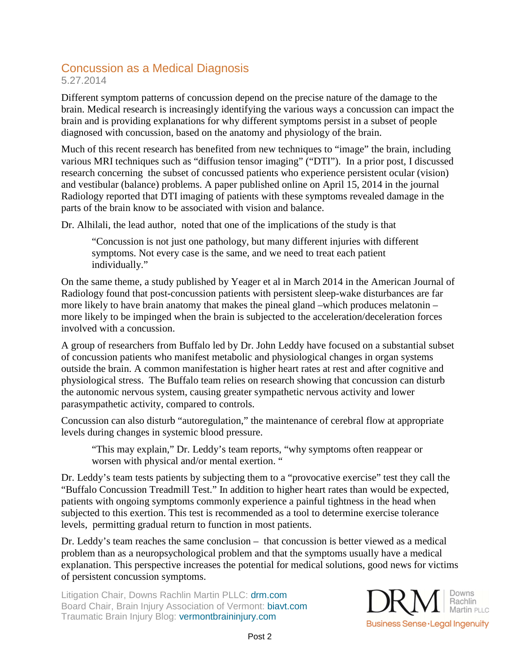# Concussion as a Medical Diagnosis

5.27.2014

Different symptom patterns of concussion depend on the precise nature of the damage to the brain. Medical research is increasingly identifying the various ways a concussion can impact the brain and is providing explanations for why different symptoms persist in a subset of people diagnosed with concussion, based on the anatomy and physiology of the brain.

Much of this recent research has benefited from new techniques to "image" the brain, including various MRI techniques such as "diffusion tensor imaging" ("DTI"). In a prior post, I discussed research concerning the subset of concussed patients who experience persistent ocular (vision) and vestibular (balance) problems. A paper published online on April 15, 2014 in the journal Radiology reported that DTI imaging of patients with these symptoms revealed damage in the parts of the brain know to be associated with vision and balance.

Dr. Alhilali, the lead author, noted that one of the implications of the study is that

"Concussion is not just one pathology, but many different injuries with different symptoms. Not every case is the same, and we need to treat each patient individually."

On the same theme, a study published by Yeager et al in March 2014 in the American Journal of Radiology found that post-concussion patients with persistent sleep-wake disturbances are far more likely to have brain anatomy that makes the pineal gland –which produces melatonin – more likely to be impinged when the brain is subjected to the acceleration/deceleration forces involved with a concussion.

A group of researchers from Buffalo led by Dr. John Leddy have focused on a substantial subset of concussion patients who manifest metabolic and physiological changes in organ systems outside the brain. A common manifestation is higher heart rates at rest and after cognitive and physiological stress. The Buffalo team relies on research showing that concussion can disturb the autonomic nervous system, causing greater sympathetic nervous activity and lower parasympathetic activity, compared to controls.

Concussion can also disturb "autoregulation," the maintenance of cerebral flow at appropriate levels during changes in systemic blood pressure.

"This may explain," Dr. Leddy's team reports, "why symptoms often reappear or worsen with physical and/or mental exertion. "

Dr. Leddy's team tests patients by subjecting them to a "provocative exercise" test they call the "Buffalo Concussion Treadmill Test." In addition to higher heart rates than would be expected, patients with ongoing symptoms commonly experience a painful tightness in the head when subjected to this exertion. This test is recommended as a tool to determine exercise tolerance levels, permitting gradual return to function in most patients.

Dr. Leddy's team reaches the same conclusion – that concussion is better viewed as a medical problem than as a neuropsychological problem and that the symptoms usually have a medical explanation. This perspective increases the potential for medical solutions, good news for victims of persistent concussion symptoms.

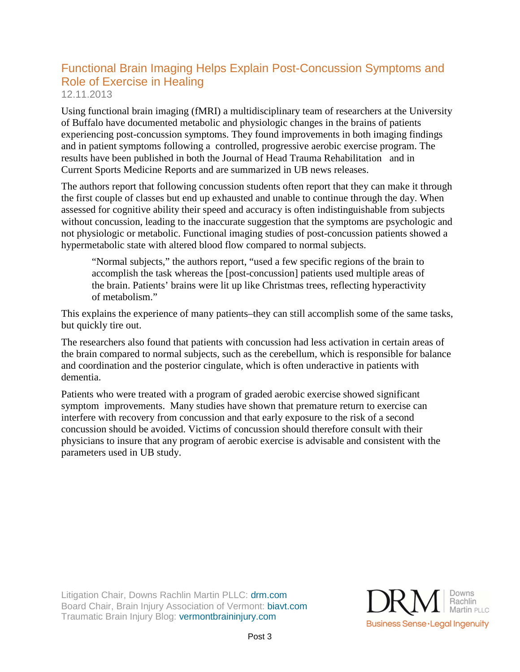# Functional Brain Imaging Helps Explain Post-Concussion Symptoms and Role of Exercise in Healing

12.11.2013

Using functional brain imaging (fMRI) a multidisciplinary team of researchers at the University of Buffalo have documented metabolic and physiologic changes in the brains of patients experiencing post-concussion symptoms. They found improvements in both imaging findings and in patient symptoms following a controlled, progressive aerobic exercise program. The results have been published in both the Journal of Head Trauma Rehabilitation and in Current Sports Medicine Reports and are summarized in UB news releases.

The authors report that following concussion students often report that they can make it through the first couple of classes but end up exhausted and unable to continue through the day. When assessed for cognitive ability their speed and accuracy is often indistinguishable from subjects without concussion, leading to the inaccurate suggestion that the symptoms are psychologic and not physiologic or metabolic. Functional imaging studies of post-concussion patients showed a hypermetabolic state with altered blood flow compared to normal subjects.

"Normal subjects," the authors report, "used a few specific regions of the brain to accomplish the task whereas the [post-concussion] patients used multiple areas of the brain. Patients' brains were lit up like Christmas trees, reflecting hyperactivity of metabolism."

This explains the experience of many patients–they can still accomplish some of the same tasks, but quickly tire out.

The researchers also found that patients with concussion had less activation in certain areas of the brain compared to normal subjects, such as the cerebellum, which is responsible for balance and coordination and the posterior cingulate, which is often underactive in patients with dementia.

Patients who were treated with a program of graded aerobic exercise showed significant symptom improvements. Many studies have shown that premature return to exercise can interfere with recovery from concussion and that early exposure to the risk of a second concussion should be avoided. Victims of concussion should therefore consult with their physicians to insure that any program of aerobic exercise is advisable and consistent with the parameters used in UB study.

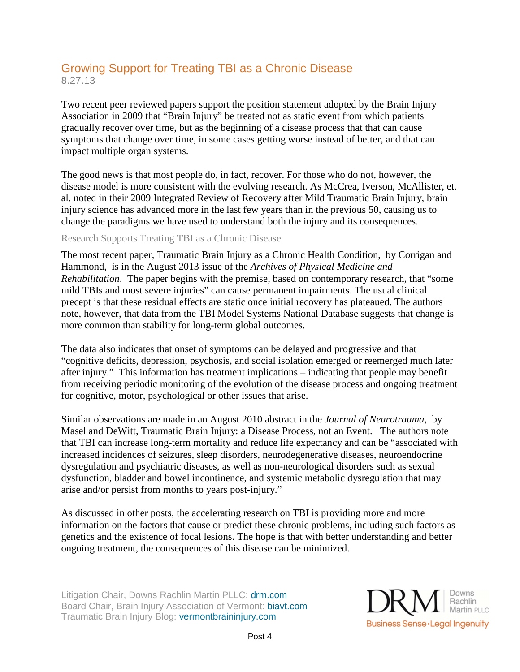# Growing Support for Treating TBI as a Chronic Disease 8.27.13

Two recent peer reviewed papers support the position statement adopted by the Brain Injury Association in 2009 that "Brain Injury" be treated not as static event from which patients gradually recover over time, but as the beginning of a disease process that that can cause symptoms that change over time, in some cases getting worse instead of better, and that can impact multiple organ systems.

The good news is that most people do, in fact, recover. For those who do not, however, the disease model is more consistent with the evolving research. As McCrea, Iverson, McAllister, et. al. noted in their 2009 Integrated Review of Recovery after Mild Traumatic Brain Injury, brain injury science has advanced more in the last few years than in the previous 50, causing us to change the paradigms we have used to understand both the injury and its consequences.

#### Research Supports Treating TBI as a Chronic Disease

The most recent paper, Traumatic Brain Injury as a Chronic Health Condition, by Corrigan and Hammond, is in the August 2013 issue of the *Archives of Physical Medicine and Rehabilitation*. The paper begins with the premise, based on contemporary research, that "some mild TBIs and most severe injuries" can cause permanent impairments. The usual clinical precept is that these residual effects are static once initial recovery has plateaued. The authors note, however, that data from the TBI Model Systems National Database suggests that change is more common than stability for long-term global outcomes.

The data also indicates that onset of symptoms can be delayed and progressive and that "cognitive deficits, depression, psychosis, and social isolation emerged or reemerged much later after injury." This information has treatment implications – indicating that people may benefit from receiving periodic monitoring of the evolution of the disease process and ongoing treatment for cognitive, motor, psychological or other issues that arise.

Similar observations are made in an August 2010 abstract in the *Journal of Neurotrauma*, by Masel and DeWitt, Traumatic Brain Injury: a Disease Process, not an Event. The authors note that TBI can increase long-term mortality and reduce life expectancy and can be "associated with increased incidences of seizures, sleep disorders, neurodegenerative diseases, neuroendocrine dysregulation and psychiatric diseases, as well as non-neurological disorders such as sexual dysfunction, bladder and bowel incontinence, and systemic metabolic dysregulation that may arise and/or persist from months to years post-injury."

As discussed in other posts, the accelerating research on TBI is providing more and more information on the factors that cause or predict these chronic problems, including such factors as genetics and the existence of focal lesions. The hope is that with better understanding and better ongoing treatment, the consequences of this disease can be minimized.

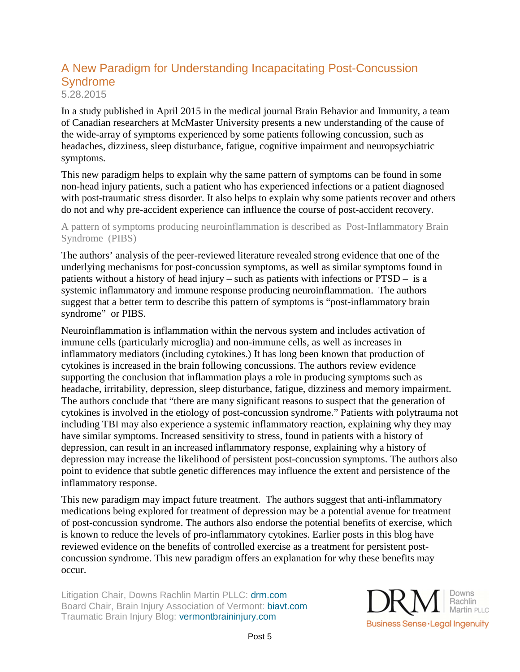# A New Paradigm for Understanding Incapacitating Post-Concussion Syndrome 5.28.2015

In a study published in April 2015 in the medical journal Brain Behavior and Immunity, a team of Canadian researchers at McMaster University presents a new understanding of the cause of the wide-array of symptoms experienced by some patients following concussion, such as headaches, dizziness, sleep disturbance, fatigue, cognitive impairment and neuropsychiatric symptoms.

This new paradigm helps to explain why the same pattern of symptoms can be found in some non-head injury patients, such a patient who has experienced infections or a patient diagnosed with post-traumatic stress disorder. It also helps to explain why some patients recover and others do not and why pre-accident experience can influence the course of post-accident recovery.

#### A pattern of symptoms producing neuroinflammation is described as Post-Inflammatory Brain Syndrome (PIBS)

The authors' analysis of the peer-reviewed literature revealed strong evidence that one of the underlying mechanisms for post-concussion symptoms, as well as similar symptoms found in patients without a history of head injury – such as patients with infections or PTSD – is a systemic inflammatory and immune response producing neuroinflammation. The authors suggest that a better term to describe this pattern of symptoms is "post-inflammatory brain syndrome" or PIBS.

Neuroinflammation is inflammation within the nervous system and includes activation of immune cells (particularly microglia) and non-immune cells, as well as increases in inflammatory mediators (including cytokines.) It has long been known that production of cytokines is increased in the brain following concussions. The authors review evidence supporting the conclusion that inflammation plays a role in producing symptoms such as headache, irritability, depression, sleep disturbance, fatigue, dizziness and memory impairment. The authors conclude that "there are many significant reasons to suspect that the generation of cytokines is involved in the etiology of post-concussion syndrome." Patients with polytrauma not including TBI may also experience a systemic inflammatory reaction, explaining why they may have similar symptoms. Increased sensitivity to stress, found in patients with a history of depression, can result in an increased inflammatory response, explaining why a history of depression may increase the likelihood of persistent post-concussion symptoms. The authors also point to evidence that subtle genetic differences may influence the extent and persistence of the inflammatory response.

This new paradigm may impact future treatment. The authors suggest that anti-inflammatory medications being explored for treatment of depression may be a potential avenue for treatment of post-concussion syndrome. The authors also endorse the potential benefits of exercise, which is known to reduce the levels of pro-inflammatory cytokines. Earlier posts in this blog have reviewed evidence on the benefits of controlled exercise as a treatment for persistent postconcussion syndrome. This new paradigm offers an explanation for why these benefits may occur.

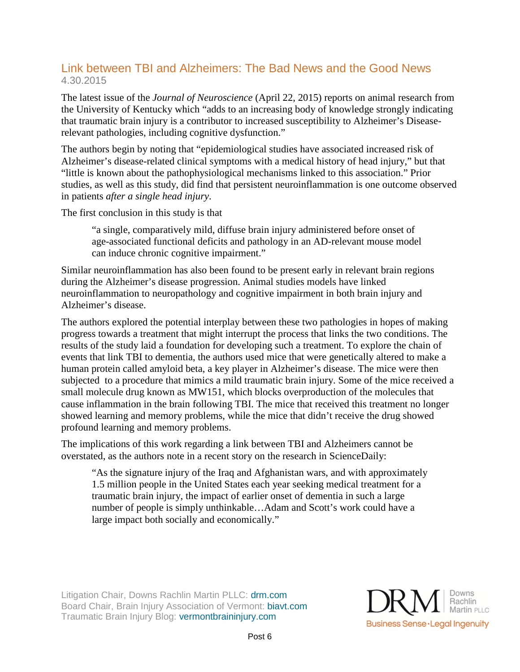## Link between TBI and Alzheimers: The Bad News and the Good News 4.30.2015

The latest issue of the *Journal of Neuroscience* (April 22, 2015) reports on animal research from the University of Kentucky which "adds to an increasing body of knowledge strongly indicating that traumatic brain injury is a contributor to increased susceptibility to Alzheimer's Diseaserelevant pathologies, including cognitive dysfunction."

The authors begin by noting that "epidemiological studies have associated increased risk of Alzheimer's disease-related clinical symptoms with a medical history of head injury," but that "little is known about the pathophysiological mechanisms linked to this association." Prior studies, as well as this study, did find that persistent neuroinflammation is one outcome observed in patients *after a single head injury*.

The first conclusion in this study is that

"a single, comparatively mild, diffuse brain injury administered before onset of age-associated functional deficits and pathology in an AD-relevant mouse model can induce chronic cognitive impairment."

Similar neuroinflammation has also been found to be present early in relevant brain regions during the Alzheimer's disease progression. Animal studies models have linked neuroinflammation to neuropathology and cognitive impairment in both brain injury and Alzheimer's disease.

The authors explored the potential interplay between these two pathologies in hopes of making progress towards a treatment that might interrupt the process that links the two conditions. The results of the study laid a foundation for developing such a treatment. To explore the chain of events that link TBI to dementia, the authors used mice that were genetically altered to make a human protein called amyloid beta, a key player in Alzheimer's disease. The mice were then subjected to a procedure that mimics a mild traumatic brain injury. Some of the mice received a small molecule drug known as MW151, which blocks overproduction of the molecules that cause inflammation in the brain following TBI. The mice that received this treatment no longer showed learning and memory problems, while the mice that didn't receive the drug showed profound learning and memory problems.

The implications of this work regarding a link between TBI and Alzheimers cannot be overstated, as the authors note in a recent story on the research in ScienceDaily:

"As the signature injury of the Iraq and Afghanistan wars, and with approximately 1.5 million people in the United States each year seeking medical treatment for a traumatic brain injury, the impact of earlier onset of dementia in such a large number of people is simply unthinkable…Adam and Scott's work could have a large impact both socially and economically."

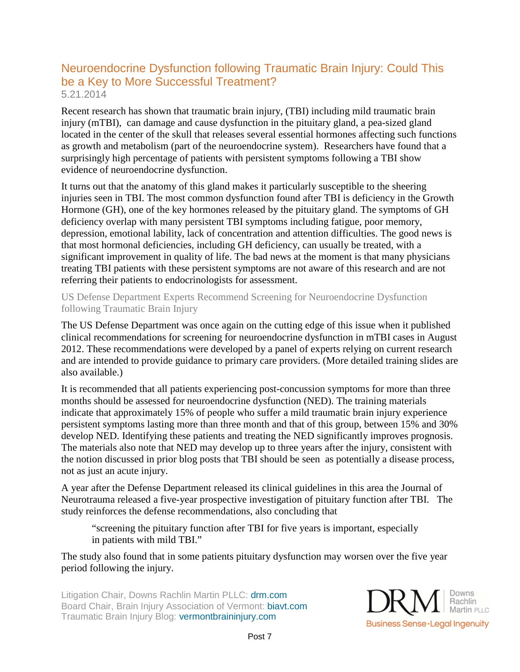## Neuroendocrine Dysfunction following Traumatic Brain Injury: Could This be a Key to More Successful Treatment? 5.21.2014

Recent research has shown that traumatic brain injury, (TBI) including mild traumatic brain injury (mTBI), can damage and cause dysfunction in the pituitary gland, a pea-sized gland located in the center of the skull that releases several essential hormones affecting such functions as growth and metabolism (part of the neuroendocrine system). Researchers have found that a surprisingly high percentage of patients with persistent symptoms following a TBI show evidence of neuroendocrine dysfunction.

It turns out that the anatomy of this gland makes it particularly susceptible to the sheering injuries seen in TBI. The most common dysfunction found after TBI is deficiency in the Growth Hormone (GH), one of the key hormones released by the pituitary gland. The symptoms of GH deficiency overlap with many persistent TBI symptoms including fatigue, poor memory, depression, emotional lability, lack of concentration and attention difficulties. The good news is that most hormonal deficiencies, including GH deficiency, can usually be treated, with a significant improvement in quality of life. The bad news at the moment is that many physicians treating TBI patients with these persistent symptoms are not aware of this research and are not referring their patients to endocrinologists for assessment.

US Defense Department Experts Recommend Screening for Neuroendocrine Dysfunction following Traumatic Brain Injury

The US Defense Department was once again on the cutting edge of this issue when it published clinical recommendations for screening for neuroendocrine dysfunction in mTBI cases in August 2012. These recommendations were developed by a panel of experts relying on current research and are intended to provide guidance to primary care providers. (More detailed training slides are also available.)

It is recommended that all patients experiencing post-concussion symptoms for more than three months should be assessed for neuroendocrine dysfunction (NED). The training materials indicate that approximately 15% of people who suffer a mild traumatic brain injury experience persistent symptoms lasting more than three month and that of this group, between 15% and 30% develop NED. Identifying these patients and treating the NED significantly improves prognosis. The materials also note that NED may develop up to three years after the injury, consistent with the notion discussed in prior blog posts that TBI should be seen as potentially a disease process, not as just an acute injury.

A year after the Defense Department released its clinical guidelines in this area the Journal of Neurotrauma released a five-year prospective investigation of pituitary function after TBI. The study reinforces the defense recommendations, also concluding that

"screening the pituitary function after TBI for five years is important, especially in patients with mild TBI."

The study also found that in some patients pituitary dysfunction may worsen over the five year period following the injury.

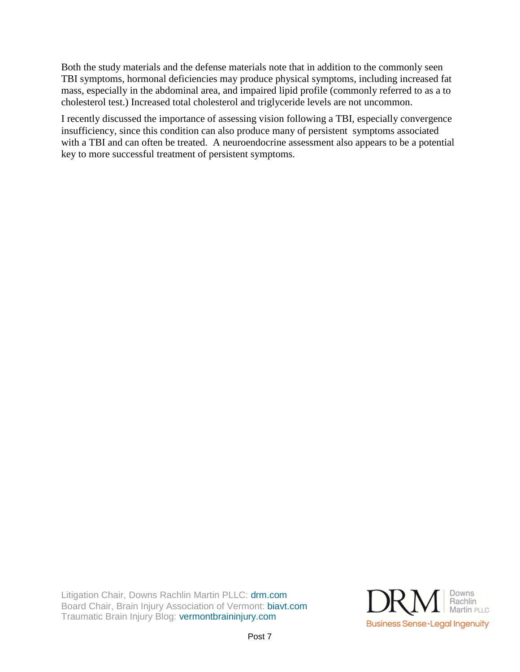Both the study materials and the defense materials note that in addition to the commonly seen TBI symptoms, hormonal deficiencies may produce physical symptoms, including increased fat mass, especially in the abdominal area, and impaired lipid profile (commonly referred to as a to cholesterol test.) Increased total cholesterol and triglyceride levels are not uncommon.

I recently discussed the importance of assessing vision following a TBI, especially convergence insufficiency, since this condition can also produce many of persistent symptoms associated with a TBI and can often be treated. A neuroendocrine assessment also appears to be a potential key to more successful treatment of persistent symptoms.

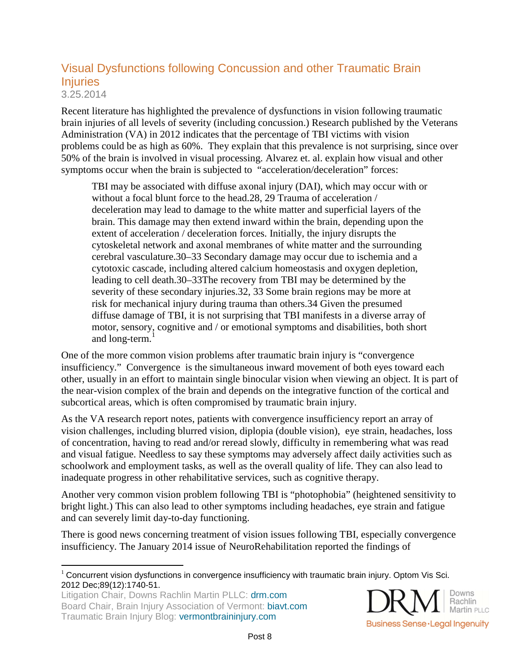## Visual Dysfunctions following Concussion and other Traumatic Brain **Injuries** 3.25.2014

Recent literature has highlighted the prevalence of dysfunctions in vision following traumatic brain injuries of all levels of severity (including concussion.) Research published by the Veterans Administration (VA) in 2012 indicates that the percentage of TBI victims with vision problems could be as high as 60%. They explain that this prevalence is not surprising, since over 50% of the brain is involved in visual processing. Alvarez et. al. explain how visual and other symptoms occur when the brain is subjected to "acceleration/deceleration" forces:

TBI may be associated with diffuse axonal injury (DAI), which may occur with or without a focal blunt force to the head.28, 29 Trauma of acceleration / deceleration may lead to damage to the white matter and superficial layers of the brain. This damage may then extend inward within the brain, depending upon the extent of acceleration / deceleration forces. Initially, the injury disrupts the cytoskeletal network and axonal membranes of white matter and the surrounding cerebral vasculature.30–33 Secondary damage may occur due to ischemia and a cytotoxic cascade, including altered calcium homeostasis and oxygen depletion, leading to cell death.30–33The recovery from TBI may be determined by the severity of these secondary injuries.32, 33 Some brain regions may be more at risk for mechanical injury during trauma than others.34 Given the presumed diffuse damage of TBI, it is not surprising that TBI manifests in a diverse array of motor, sensory, cognitive and / or emotional symptoms and disabilities, both short and long-term. $<sup>1</sup>$ </sup>

One of the more common vision problems after traumatic brain injury is "convergence insufficiency." Convergence is the simultaneous inward movement of both eyes toward each other, usually in an effort to maintain single binocular vision when viewing an object. It is part of the near-vision complex of the brain and depends on the integrative function of the cortical and subcortical areas, which is often compromised by traumatic brain injury.

As the VA research report notes, patients with convergence insufficiency report an array of vision challenges, including blurred vision, diplopia (double vision), eye strain, headaches, loss of concentration, having to read and/or reread slowly, difficulty in remembering what was read and visual fatigue. Needless to say these symptoms may adversely affect daily activities such as schoolwork and employment tasks, as well as the overall quality of life. They can also lead to inadequate progress in other rehabilitative services, such as cognitive therapy.

Another very common vision problem following TBI is "photophobia" (heightened sensitivity to bright light.) This can also lead to other symptoms including headaches, eye strain and fatigue and can severely limit day-to-day functioning.

There is good news concerning treatment of vision issues following TBI, especially convergence insufficiency. The January 2014 issue of NeuroRehabilitation reported the findings of



 $\overline{a}$  $1$  Concurrent vision dysfunctions in convergence insufficiency with traumatic brain injury. Optom Vis Sci. 2012 Dec;89(12):1740-51.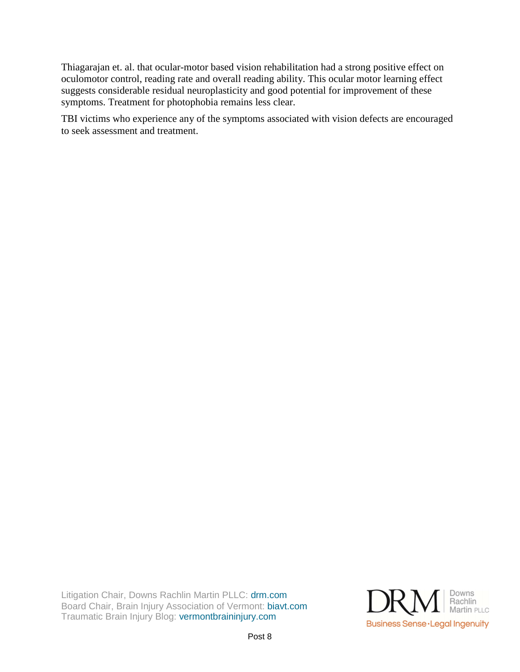Thiagarajan et. al. that ocular-motor based vision rehabilitation had a strong positive effect on oculomotor control, reading rate and overall reading ability. This ocular motor learning effect suggests considerable residual neuroplasticity and good potential for improvement of these symptoms. Treatment for photophobia remains less clear.

TBI victims who experience any of the symptoms associated with vision defects are encouraged to seek assessment and treatment.

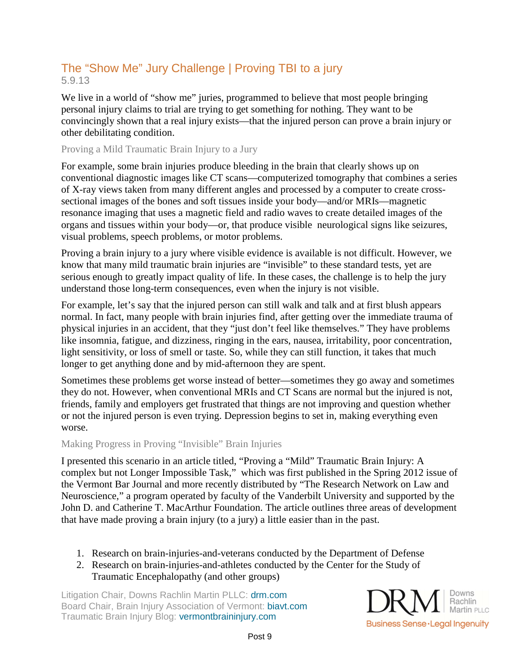# The "Show Me" Jury Challenge | Proving TBI to a jury 5.9.13

We live in a world of "show me" juries, programmed to believe that most people bringing personal injury claims to trial are trying to get something for nothing. They want to be convincingly shown that a real injury exists—that the injured person can prove a brain injury or other debilitating condition.

#### Proving a Mild Traumatic Brain Injury to a Jury

For example, some brain injuries produce bleeding in the brain that clearly shows up on conventional diagnostic images like CT scans—computerized tomography that combines a series of X-ray views taken from many different angles and processed by a computer to create crosssectional images of the bones and soft tissues inside your body—and/or MRIs—magnetic resonance imaging that uses a magnetic field and radio waves to create detailed images of the organs and tissues within your body—or, that produce visible neurological signs like seizures, visual problems, speech problems, or motor problems.

Proving a brain injury to a jury where visible evidence is available is not difficult. However, we know that many mild traumatic brain injuries are "invisible" to these standard tests, yet are serious enough to greatly impact quality of life. In these cases, the challenge is to help the jury understand those long-term consequences, even when the injury is not visible.

For example, let's say that the injured person can still walk and talk and at first blush appears normal. In fact, many people with brain injuries find, after getting over the immediate trauma of physical injuries in an accident, that they "just don't feel like themselves." They have problems like insomnia, fatigue, and dizziness, ringing in the ears, nausea, irritability, poor concentration, light sensitivity, or loss of smell or taste. So, while they can still function, it takes that much longer to get anything done and by mid-afternoon they are spent.

Sometimes these problems get worse instead of better—sometimes they go away and sometimes they do not. However, when conventional MRIs and CT Scans are normal but the injured is not, friends, family and employers get frustrated that things are not improving and question whether or not the injured person is even trying. Depression begins to set in, making everything even worse.

#### Making Progress in Proving "Invisible" Brain Injuries

I presented this scenario in an article titled, "Proving a "Mild" Traumatic Brain Injury: A complex but not Longer Impossible Task," which was first published in the Spring 2012 issue of the Vermont Bar Journal and more recently distributed by "The Research Network on Law and Neuroscience," a program operated by faculty of the Vanderbilt University and supported by the John D. and Catherine T. MacArthur Foundation. The article outlines three areas of development that have made proving a brain injury (to a jury) a little easier than in the past.

- 1. Research on brain-injuries-and-veterans conducted by the Department of Defense
- 2. Research on brain-injuries-and-athletes conducted by the Center for the Study of Traumatic Encephalopathy (and other groups)

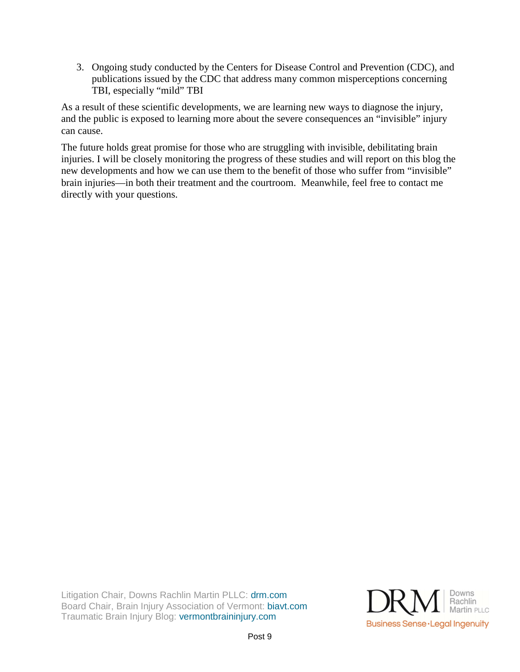3. Ongoing study conducted by the Centers for Disease Control and Prevention (CDC), and publications issued by the CDC that address many common misperceptions concerning TBI, especially "mild" TBI

As a result of these scientific developments, we are learning new ways to diagnose the injury, and the public is exposed to learning more about the severe consequences an "invisible" injury can cause.

The future holds great promise for those who are struggling with invisible, debilitating brain injuries. I will be closely monitoring the progress of these studies and will report on this blog the new developments and how we can use them to the benefit of those who suffer from "invisible" brain injuries—in both their treatment and the courtroom. Meanwhile, feel free to contact me directly with your questions.

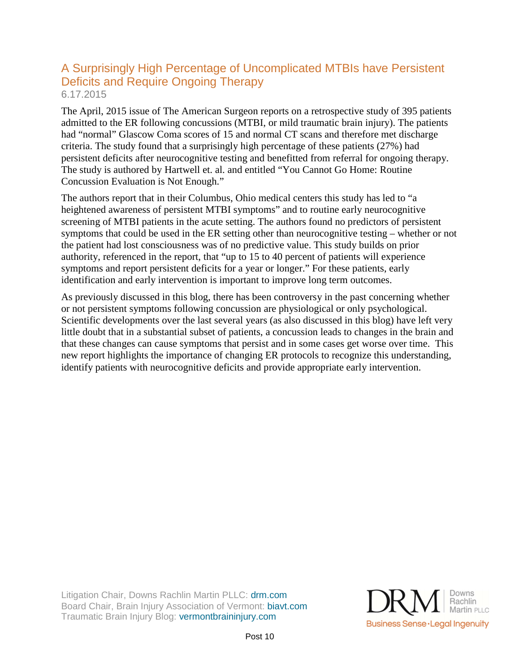## A Surprisingly High Percentage of Uncomplicated MTBIs have Persistent Deficits and Require Ongoing Therapy 6.17.2015

The April, 2015 issue of The American Surgeon reports on a retrospective study of 395 patients admitted to the ER following concussions (MTBI, or mild traumatic brain injury). The patients had "normal" Glascow Coma scores of 15 and normal CT scans and therefore met discharge criteria. The study found that a surprisingly high percentage of these patients (27%) had persistent deficits after neurocognitive testing and benefitted from referral for ongoing therapy. The study is authored by Hartwell et. al. and entitled "You Cannot Go Home: Routine Concussion Evaluation is Not Enough."

The authors report that in their Columbus, Ohio medical centers this study has led to "a heightened awareness of persistent MTBI symptoms" and to routine early neurocognitive screening of MTBI patients in the acute setting. The authors found no predictors of persistent symptoms that could be used in the ER setting other than neurocognitive testing – whether or not the patient had lost consciousness was of no predictive value. This study builds on prior authority, referenced in the report, that "up to 15 to 40 percent of patients will experience symptoms and report persistent deficits for a year or longer." For these patients, early identification and early intervention is important to improve long term outcomes.

As previously discussed in this blog, there has been controversy in the past concerning whether or not persistent symptoms following concussion are physiological or only psychological. Scientific developments over the last several years (as also discussed in this blog) have left very little doubt that in a substantial subset of patients, a concussion leads to changes in the brain and that these changes can cause symptoms that persist and in some cases get worse over time. This new report highlights the importance of changing ER protocols to recognize this understanding, identify patients with neurocognitive deficits and provide appropriate early intervention.

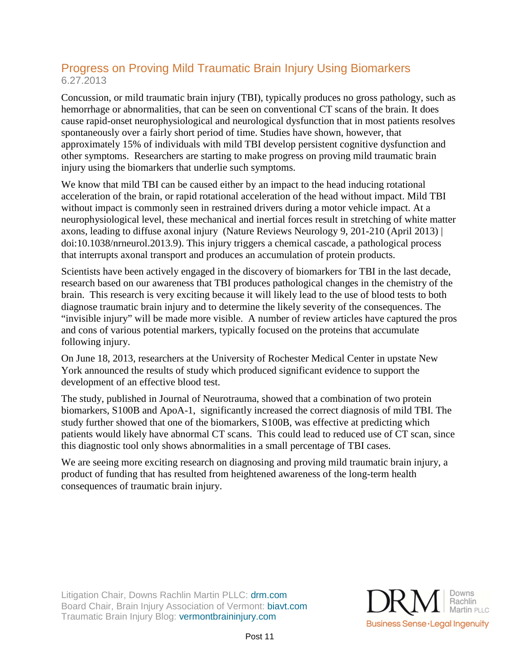# Progress on Proving Mild Traumatic Brain Injury Using Biomarkers 6.27.2013

Concussion, or mild traumatic brain injury (TBI), typically produces no gross pathology, such as hemorrhage or abnormalities, that can be seen on conventional CT scans of the brain. It does cause rapid-onset neurophysiological and neurological dysfunction that in most patients resolves spontaneously over a fairly short period of time. Studies have shown, however, that approximately 15% of individuals with mild TBI develop persistent cognitive dysfunction and other symptoms. Researchers are starting to make progress on proving mild traumatic brain injury using the biomarkers that underlie such symptoms.

We know that mild TBI can be caused either by an impact to the head inducing rotational acceleration of the brain, or rapid rotational acceleration of the head without impact. Mild TBI without impact is commonly seen in restrained drivers during a motor vehicle impact. At a neurophysiological level, these mechanical and inertial forces result in stretching of white matter axons, leading to diffuse axonal injury (Nature Reviews Neurology 9, 201-210 (April 2013) | doi:10.1038/nrneurol.2013.9). This injury triggers a chemical cascade, a pathological process that interrupts axonal transport and produces an accumulation of protein products.

Scientists have been actively engaged in the discovery of biomarkers for TBI in the last decade, research based on our awareness that TBI produces pathological changes in the chemistry of the brain. This research is very exciting because it will likely lead to the use of blood tests to both diagnose traumatic brain injury and to determine the likely severity of the consequences. The "invisible injury" will be made more visible. A number of review articles have captured the pros and cons of various potential markers, typically focused on the proteins that accumulate following injury.

On June 18, 2013, researchers at the University of Rochester Medical Center in upstate New York announced the results of study which produced significant evidence to support the development of an effective blood test.

The study, published in Journal of Neurotrauma, showed that a combination of two protein biomarkers, S100B and ApoA-1, significantly increased the correct diagnosis of mild TBI. The study further showed that one of the biomarkers, S100B, was effective at predicting which patients would likely have abnormal CT scans. This could lead to reduced use of CT scan, since this diagnostic tool only shows abnormalities in a small percentage of TBI cases.

We are seeing more exciting research on diagnosing and proving mild traumatic brain injury, a product of funding that has resulted from heightened awareness of the long-term health consequences of traumatic brain injury.

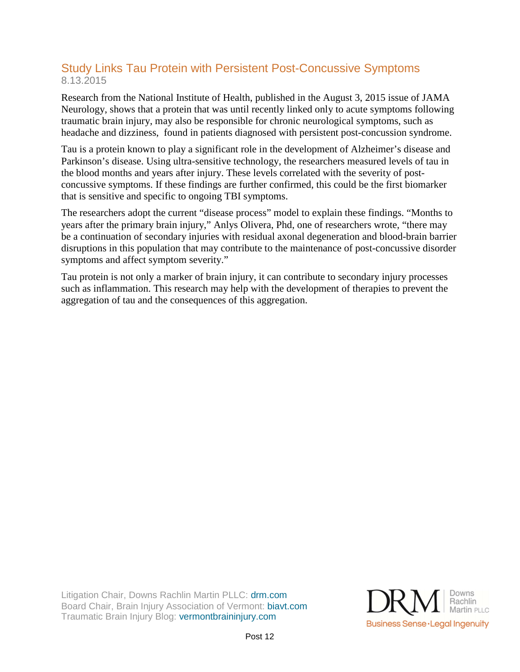## Study Links Tau Protein with Persistent Post-Concussive Symptoms 8.13.2015

Research from the National Institute of Health, published in the August 3, 2015 issue of JAMA Neurology, shows that a protein that was until recently linked only to acute symptoms following traumatic brain injury, may also be responsible for chronic neurological symptoms, such as headache and dizziness, found in patients diagnosed with persistent post-concussion syndrome.

Tau is a protein known to play a significant role in the development of Alzheimer's disease and Parkinson's disease. Using ultra-sensitive technology, the researchers measured levels of tau in the blood months and years after injury. These levels correlated with the severity of postconcussive symptoms. If these findings are further confirmed, this could be the first biomarker that is sensitive and specific to ongoing TBI symptoms.

The researchers adopt the current "disease process" model to explain these findings. "Months to years after the primary brain injury," Anlys Olivera, Phd, one of researchers wrote, "there may be a continuation of secondary injuries with residual axonal degeneration and blood-brain barrier disruptions in this population that may contribute to the maintenance of post-concussive disorder symptoms and affect symptom severity."

Tau protein is not only a marker of brain injury, it can contribute to secondary injury processes such as inflammation. This research may help with the development of therapies to prevent the aggregation of tau and the consequences of this aggregation.

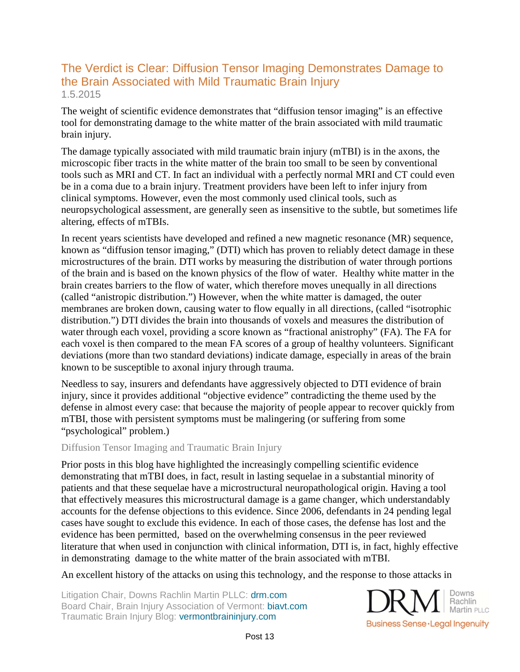# The Verdict is Clear: Diffusion Tensor Imaging Demonstrates Damage to the Brain Associated with Mild Traumatic Brain Injury 1.5.2015

The weight of scientific evidence demonstrates that "diffusion tensor imaging" is an effective tool for demonstrating damage to the white matter of the brain associated with mild traumatic brain injury.

The damage typically associated with mild traumatic brain injury (mTBI) is in the axons, the microscopic fiber tracts in the white matter of the brain too small to be seen by conventional tools such as MRI and CT. In fact an individual with a perfectly normal MRI and CT could even be in a coma due to a brain injury. Treatment providers have been left to infer injury from clinical symptoms. However, even the most commonly used clinical tools, such as neuropsychological assessment, are generally seen as insensitive to the subtle, but sometimes life altering, effects of mTBIs.

In recent years scientists have developed and refined a new magnetic resonance (MR) sequence, known as "diffusion tensor imaging," (DTI) which has proven to reliably detect damage in these microstructures of the brain. DTI works by measuring the distribution of water through portions of the brain and is based on the known physics of the flow of water. Healthy white matter in the brain creates barriers to the flow of water, which therefore moves unequally in all directions (called "anistropic distribution.") However, when the white matter is damaged, the outer membranes are broken down, causing water to flow equally in all directions, (called "isotrophic distribution.") DTI divides the brain into thousands of voxels and measures the distribution of water through each voxel, providing a score known as "fractional anistrophy" (FA). The FA for each voxel is then compared to the mean FA scores of a group of healthy volunteers. Significant deviations (more than two standard deviations) indicate damage, especially in areas of the brain known to be susceptible to axonal injury through trauma.

Needless to say, insurers and defendants have aggressively objected to DTI evidence of brain injury, since it provides additional "objective evidence" contradicting the theme used by the defense in almost every case: that because the majority of people appear to recover quickly from mTBI, those with persistent symptoms must be malingering (or suffering from some "psychological" problem.)

#### Diffusion Tensor Imaging and Traumatic Brain Injury

Prior posts in this blog have highlighted the increasingly compelling scientific evidence demonstrating that mTBI does, in fact, result in lasting sequelae in a substantial minority of patients and that these sequelae have a microstructural neuropathological origin. Having a tool that effectively measures this microstructural damage is a game changer, which understandably accounts for the defense objections to this evidence. Since 2006, defendants in 24 pending legal cases have sought to exclude this evidence. In each of those cases, the defense has lost and the evidence has been permitted, based on the overwhelming consensus in the peer reviewed literature that when used in conjunction with clinical information, DTI is, in fact, highly effective in demonstrating damage to the white matter of the brain associated with mTBI.

An excellent history of the attacks on using this technology, and the response to those attacks in

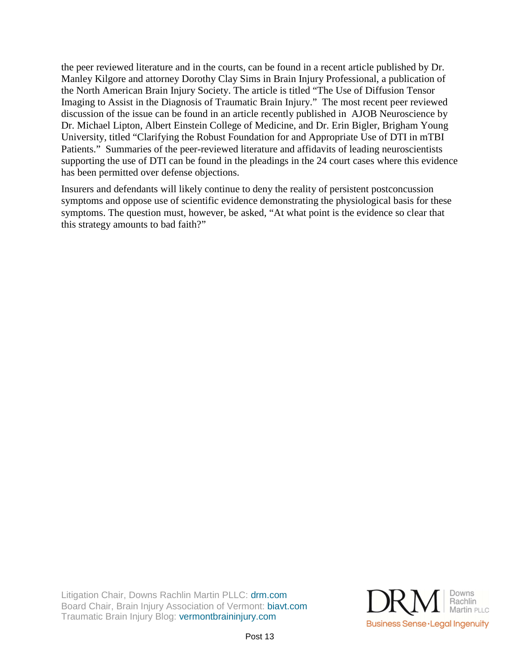the peer reviewed literature and in the courts, can be found in a recent article published by Dr. Manley Kilgore and attorney Dorothy Clay Sims in Brain Injury Professional, a publication of the North American Brain Injury Society. The article is titled "The Use of Diffusion Tensor Imaging to Assist in the Diagnosis of Traumatic Brain Injury." The most recent peer reviewed discussion of the issue can be found in an article recently published in AJOB Neuroscience by Dr. Michael Lipton, Albert Einstein College of Medicine, and Dr. Erin Bigler, Brigham Young University, titled "Clarifying the Robust Foundation for and Appropriate Use of DTI in mTBI Patients." Summaries of the peer-reviewed literature and affidavits of leading neuroscientists supporting the use of DTI can be found in the pleadings in the 24 court cases where this evidence has been permitted over defense objections.

Insurers and defendants will likely continue to deny the reality of persistent postconcussion symptoms and oppose use of scientific evidence demonstrating the physiological basis for these symptoms. The question must, however, be asked, "At what point is the evidence so clear that this strategy amounts to bad faith?"

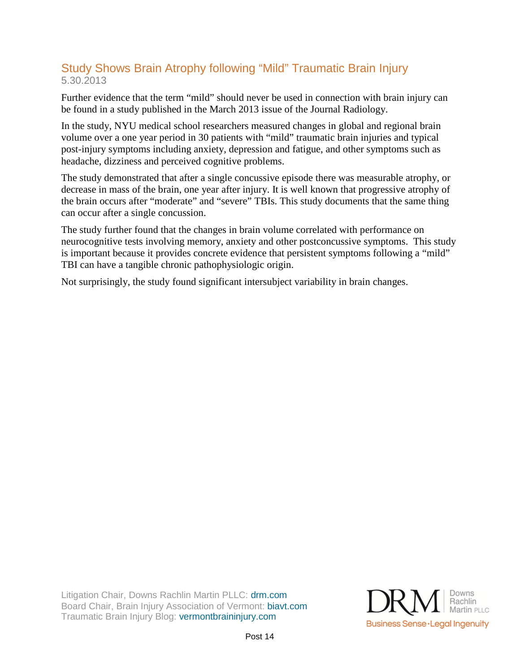# Study Shows Brain Atrophy following "Mild" Traumatic Brain Injury 5.30.2013

Further evidence that the term "mild" should never be used in connection with brain injury can be found in a study published in the March 2013 issue of the Journal Radiology.

In the study, NYU medical school researchers measured changes in global and regional brain volume over a one year period in 30 patients with "mild" traumatic brain injuries and typical post-injury symptoms including anxiety, depression and fatigue, and other symptoms such as headache, dizziness and perceived cognitive problems.

The study demonstrated that after a single concussive episode there was measurable atrophy, or decrease in mass of the brain, one year after injury. It is well known that progressive atrophy of the brain occurs after "moderate" and "severe" TBIs. This study documents that the same thing can occur after a single concussion.

The study further found that the changes in brain volume correlated with performance on neurocognitive tests involving memory, anxiety and other postconcussive symptoms. This study is important because it provides concrete evidence that persistent symptoms following a "mild" TBI can have a tangible chronic pathophysiologic origin.

Not surprisingly, the study found significant intersubject variability in brain changes.